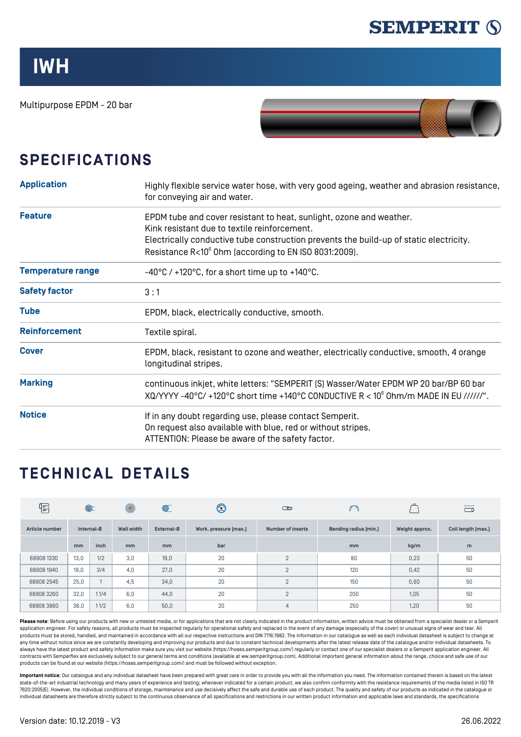

## **IWH**

Multipurpose EPDM - 20 bar



## **SPECIFICATIONS**

| <b>Application</b>       | Highly flexible service water hose, with very good ageing, weather and abrasion resistance,<br>for conveying air and water.                                                                                                                                            |  |  |  |  |  |
|--------------------------|------------------------------------------------------------------------------------------------------------------------------------------------------------------------------------------------------------------------------------------------------------------------|--|--|--|--|--|
| <b>Feature</b>           | EPDM tube and cover resistant to heat, sunlight, ozone and weather.<br>Kink resistant due to textile reinforcement.<br>Electrically conductive tube construction prevents the build-up of static electricity.<br>Resistance R<10° 0hm [according to EN ISO 8031:2009]. |  |  |  |  |  |
| <b>Temperature range</b> | $-40^{\circ}$ C / +120 $^{\circ}$ C, for a short time up to +140 $^{\circ}$ C.                                                                                                                                                                                         |  |  |  |  |  |
| <b>Safety factor</b>     | 3:1                                                                                                                                                                                                                                                                    |  |  |  |  |  |
| <b>Tube</b>              | EPDM, black, electrically conductive, smooth.                                                                                                                                                                                                                          |  |  |  |  |  |
| <b>Reinforcement</b>     | Textile spiral.                                                                                                                                                                                                                                                        |  |  |  |  |  |
| <b>Cover</b>             | EPDM, black, resistant to ozone and weather, electrically conductive, smooth, 4 orange<br>longitudinal stripes.                                                                                                                                                        |  |  |  |  |  |
| <b>Marking</b>           | continuous inkjet, white letters: "SEMPERIT [S] Wasser/Water EPDM WP 20 bar/BP 60 bar<br>XQ/YYYY -40°C/ +120°C short time +140°C CONDUCTIVE R < 10° Ohm/m MADE IN EU //////".                                                                                          |  |  |  |  |  |
| <b>Notice</b>            | If in any doubt regarding use, please contact Semperit.<br>On request also available with blue, red or without stripes.<br>ATTENTION: Please be aware of the safety factor.                                                                                            |  |  |  |  |  |

## **TECHNICAL DETAILS**

| 4              | $\circledcirc$ |      | $^{\circledR}$    | $\circledcirc$ | $\bm{\mathbb{Q}}$     | $\Box$                   | $\cup$                |                | $\Box$             |
|----------------|----------------|------|-------------------|----------------|-----------------------|--------------------------|-----------------------|----------------|--------------------|
| Article number | Internal-Ø     |      | <b>Wall width</b> | External-Ø     | Work. pressure [max.] | <b>Number of inserts</b> | Bending radius [min.] | Weight approx. | Coil length [max.] |
|                | mm             | inch | m <sub>m</sub>    | <sub>mm</sub>  | bar                   |                          | mm                    | kg/m           | m                  |
| 68908 1330     | 13,0           | 1/2  | 3.0               | 19,0           | 20                    | $\mathcal{P}$            | 80                    | 0,23           | 50                 |
| 68908 1940     | 19,0           | 3/4  | 4.0               | 27,0           | 20                    | $\overline{2}$           | 120                   | 0,42           | 50                 |
| 68908 2545     | 25,0           |      | 4.5               | 34,0           | 20                    | $\overline{2}$           | 150                   | 0,60           | 50                 |
| 68908 3260     | 32,0           | 11/4 | 6.0               | 44,0           | 20                    | $\overline{2}$           | 200                   | 1.05           | 50                 |
| 689083860      | 38,0           | 11/2 | 6,0               | 50,0           | 20                    | $\overline{4}$           | 250                   | 1.20           | 50                 |

Please note: Before using our products with new or untested media, or for applications that are not clearly indicated in the product information, written advice must be obtained from a specialist dealer or a Semperit application engineer. For safety reasons, all products must be inspected regularly for operational safety and replaced in the event of any damage (especially of the cover) or unusual signs of wear and tear. All products must be stored, handled, and maintained in accordance with all our respective instructions and DIN 7716:1982. The information in our catalogue as well as each individual datasheet is subject to change at any time without notice since we are constantly developing and improving our products and due to constant technical developments after the latest release date of the catalogue and/or individual datasheets. To always have the latest product and safety information make sure you visit our website ([https://hoses.semperitgroup.com/\)](https://hoses.semperitgroup.com/) regularly or contact one of our specialist dealers or a Semperit application engineer. All contracts with Semperflex are exclusively subject to our general terms and conditions (available at ww.semperitgroup.com). Additional important general information about the range, choice and safe use of our products can be found at our website (<https://hoses.semperitgroup.com/>) and must be followed without exception.

**Important notice**: Our catalogue and any individual datasheet have been prepared with great care in order to provide you with all the information you need. The information contained therein is based on the latest state-of-the-art industrial technology and many years of experience and testing; whenever indicated for a certain product, we also confirm conformity with the resistance requirements of the media listed in ISO TR 7620:2005(E). However, the individual conditions of storage, maintenance and use decisively affect the safe and durable use of each product. The quality and safety of our products as indicated in the catalogue or individual datasheets are therefore strictly subject to the continuous observance of all specifications and restrictions in our written product information and applicable laws and standards, the specifications